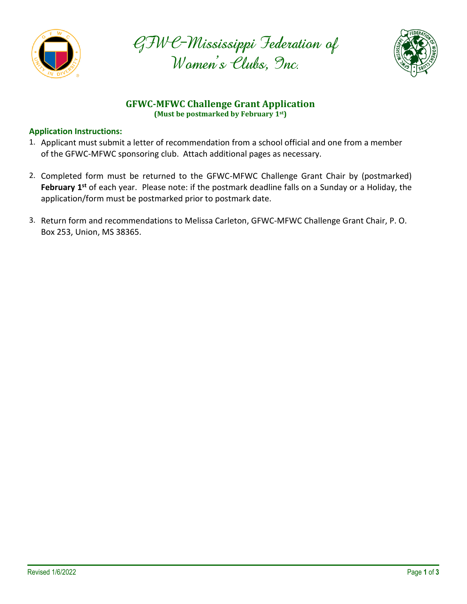





# **GFWC-MFWC Challenge Grant Application (Must be postmarked by February 1st)**

## **Application Instructions:**

- 1. Applicant must submit a letter of recommendation from a school official and one from a member of the GFWC-MFWC sponsoring club. Attach additional pages as necessary.
- 2. Completed form must be returned to the GFWC-MFWC Challenge Grant Chair by (postmarked) **February 1st** of each year. Please note: if the postmark deadline falls on a Sunday or a Holiday, the application/form must be postmarked prior to postmark date.
- 3. Return form and recommendations to Melissa Carleton, GFWC-MFWC Challenge Grant Chair, P. O. Box 253, Union, MS 38365.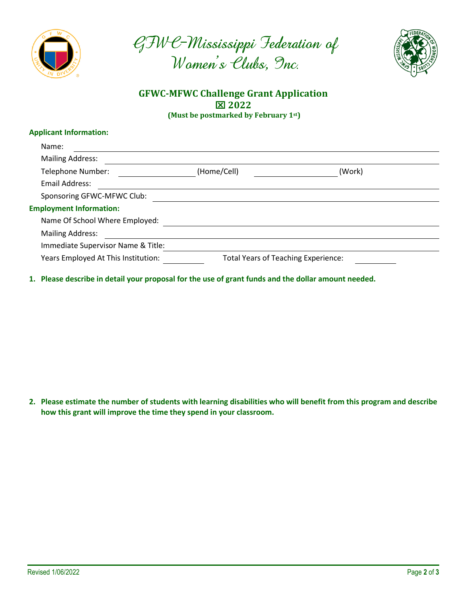





## **GFWC-MFWC Challenge Grant Application 2022 (Must be postmarked by February 1st)**

### **Applicant Information:**

| Name:                               |                                            |        |  |
|-------------------------------------|--------------------------------------------|--------|--|
| <b>Mailing Address:</b>             |                                            |        |  |
| Telephone Number:                   | (Home/Cell)                                | (Work) |  |
| Email Address:                      |                                            |        |  |
| Sponsoring GFWC-MFWC Club:          |                                            |        |  |
| <b>Employment Information:</b>      |                                            |        |  |
| Name Of School Where Employed:      |                                            |        |  |
| <b>Mailing Address:</b>             |                                            |        |  |
| Immediate Supervisor Name & Title:  |                                            |        |  |
| Years Employed At This Institution: | <b>Total Years of Teaching Experience:</b> |        |  |
|                                     |                                            |        |  |

**1. Please describe in detail your proposal for the use of grant funds and the dollar amount needed.**

**2. Please estimate the number of students with learning disabilities who will benefit from this program and describe how this grant will improve the time they spend in your classroom.**